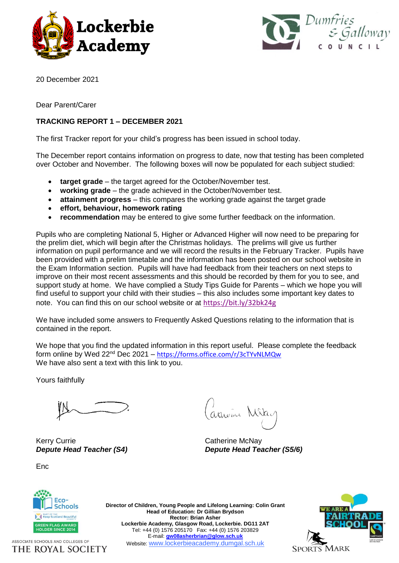



20 December 2021

Dear Parent/Carer

# **TRACKING REPORT 1 – DECEMBER 2021**

The first Tracker report for your child's progress has been issued in school today.

The December report contains information on progress to date, now that testing has been completed over October and November. The following boxes will now be populated for each subject studied:

- **target grade** the target agreed for the October/November test.
- **working grade** the grade achieved in the October/November test.
- **attainment progress** this compares the working grade against the target grade
- **effort, behaviour, homework rating**
- **recommendation** may be entered to give some further feedback on the information.

Pupils who are completing National 5, Higher or Advanced Higher will now need to be preparing for the prelim diet, which will begin after the Christmas holidays. The prelims will give us further information on pupil performance and we will record the results in the February Tracker. Pupils have been provided with a prelim timetable and the information has been posted on our school website in the Exam Information section. Pupils will have had feedback from their teachers on next steps to improve on their most recent assessments and this should be recorded by them for you to see, and support study at home. We have complied a Study Tips Guide for Parents – which we hope you will find useful to support your child with their studies – this also includes some important key dates to note. You can find this on our school website or at <https://bit.ly/32bk24g>

We have included some answers to Frequently Asked Questions relating to the information that is contained in the report.

We hope that you find the updated information in this report useful. Please complete the feedback form online by Wed 22nd Dec 2021 – <https://forms.office.com/r/3cTYvNLMQw> We have also sent a text with this link to you.

Yours faithfully

Kerry Currie **Catherine McNay** 

**Enc** 

arnome Mike

*Depute Head Teacher (S4) Depute Head Teacher (S5/6)*



ASSOCIATE SCHOOLS AND COLLEGES OF THE ROYAL SOCIETY

**Director of Children, Young People and Lifelong Learning: Colin Grant Head of Education: Dr Gillian Brydson Rector: Brian Asher Lockerbie Academy, Glasgow Road, Lockerbie. DG11 2AT** Tel: +44 (0) 1576 205170 Fax: +44 (0) 1576 203829 E-mail: **[gw08asherbrian@glow.sch.uk](mailto:gw08asherbrian@glow.sch.uk)** Website: www.lockerbieacademy.dumgal.sch.uk